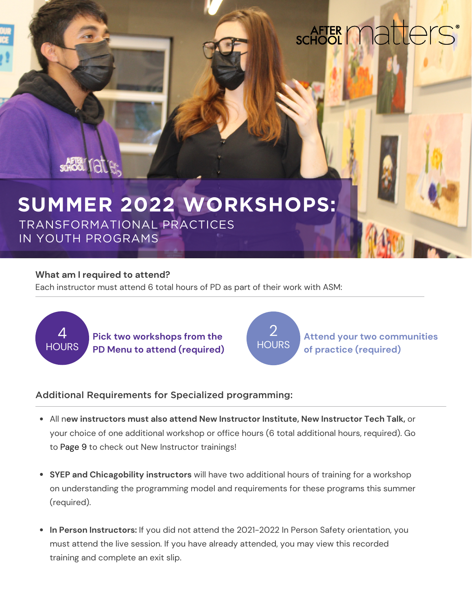# **SCHOOL Matters**

# **SUMMER 2022 WORKSHOPS:** TRANSFORMATIONAL PRACTICES

IN YOUTH PROGRAMS

**SCHOOL TAT** 

### **What am I required to attend?**

Each instructor must attend 6 total hours of PD as part of their work with ASM:



#### Additional Requirements for Specialized programming:

- All n**ew instructors must also attend New Instructor Institute, New Instructor Tech Talk,** or your choice of one additional workshop or office hours (6 total additional hours, required). Go to Page 9 to check out New Instructor trainings!
- **SYEP and Chicagobility instructors** will have two additional hours of training for a workshop on understanding the programming model and requirements for these programs this summer (required).
- **In Person Instructors:** If you did not attend the 2021-2022 In Person Safety orientation, you must attend the live session. If you have already attended, you may view this recorded training and complete an exit slip.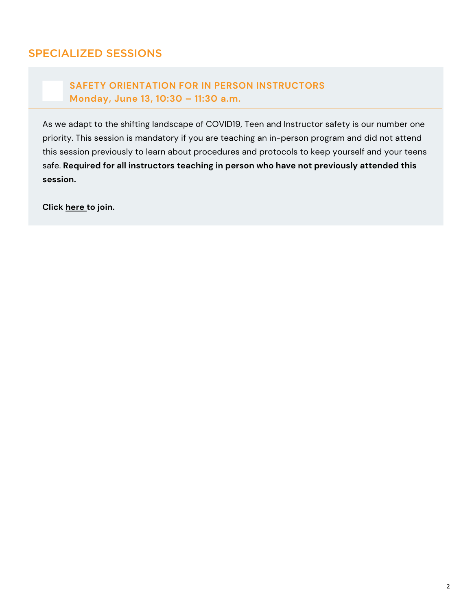# SPECIALIZED SESSIONS

# **SAFETY ORIENTATION FOR IN PERSON INSTRUCTORS Monday, June 13, 10:30 – 11:30 a.m.**

As we adapt to the shifting landscape of COVID19, Teen and Instructor safety is our number one priority. This session is mandatory if you are teaching an in-person program and did not attend this session previously to learn about procedures and protocols to keep yourself and your teens safe. **Required for all instructors teaching in person who have not previously attended this session.**

**Click [here](https://bit.ly/ASMsafety_summer2022) to join.**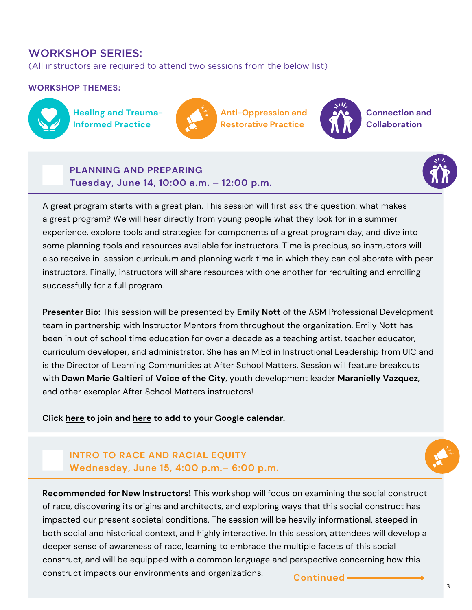# WORKSHOP SERIES:

(All instructors are required to attend two sessions from the below list)

#### **WORKSHOP THEMES:**



**Healing and Trauma-Informed Practice**



**Anti-Oppression and Restorative Practice**



**Connection and Collaboration**

## **PLANNING AND PREPARING Tuesday, June 14, 10:00 a.m. – 12:00 p.m.**



A great program starts with a great plan. This session will first ask the question: what makes a great program? We will hear directly from young people what they look for in a summer experience, explore tools and strategies for components of a great program day, and dive into some planning tools and resources available for instructors. Time is precious, so instructors will also receive in-session curriculum and planning work time in which they can collaborate with peer instructors. Finally, instructors will share resources with one another for recruiting and enrolling successfully for a full program.

**Presenter Bio:** This session will be presented by **Emily Nott** of the ASM Professional Development team in partnership with Instructor Mentors from throughout the organization. Emily Nott has been in out of school time education for over a decade as a teaching artist, teacher educator, curriculum developer, and administrator. She has an M.Ed in Instructional Leadership from UIC and is the Director of Learning Communities at After School Matters. Session will feature breakouts with **Dawn Marie Galtieri** of **Voice of the City**, youth development leader **Maranielly Vazquez**, and other exemplar After School Matters instructors!

**Click [here](https://us06web.zoom.us/j/81189069996) to join and [here](https://calendar.google.com/event?action=TEMPLATE&tmeid=djdkYm1hY2ZvaWNwNWRmYW9lY2ZtcmZrcDAgcHJvZmVzc2lvbmFsLmRldmVsb3BtZW50QGFzbXByb2dyYW1zLm9yZw&tmsrc=professional.development%40asmprograms.org) to add to your Google calendar.**

### **INTRO TO RACE AND RACIAL EQUITY Wednesday, June 15, 4:00 p.m.– 6:00 p.m.**

**Recommended for New Instructors!** This workshop will focus on examining the social construct of race, discovering its origins and architects, and exploring ways that this social construct has impacted our present societal conditions. The session will be heavily informational, steeped in both social and historical context, and highly interactive. In this session, attendees will develop a deeper sense of awareness of race, learning to embrace the multiple facets of this social construct, and will be equipped with a common language and perspective concerning how this construct impacts our environments and organizations. **Continued**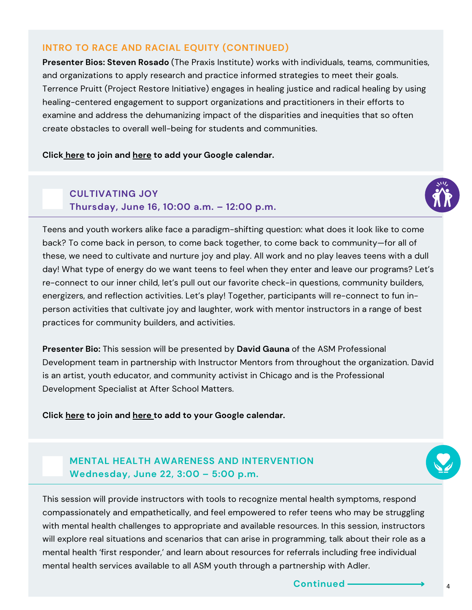#### **INTRO TO RACE AND RACIAL EQUITY (CONTINUED)**

**Presenter Bios: Steven Rosado** (The Praxis Institute) works with individuals, teams, communities, and organizations to apply research and practice informed strategies to meet their goals. Terrence Pruitt (Project Restore Initiative) engages in healing justice and radical healing by using healing-centered engagement to support organizations and practitioners in their efforts to examine and address the dehumanizing impact of the disparities and inequities that so often create obstacles to overall well-being for students and communities.

**Click [here](https://us06web.zoom.us/j/85883141420) to join and [here](https://calendar.google.com/event?action=TEMPLATE&tmeid=ZWZmcDZzcjVpZDNrbzhvMjRqZGFjYTZhZmcgcHJvZmVzc2lvbmFsLmRldmVsb3BtZW50QGFzbXByb2dyYW1zLm9yZw&tmsrc=professional.development%40asmprograms.org) to add your Google calendar.**

# **CULTIVATING JOY Thursday, June 16, 10:00 a.m. – 12:00 p.m.**



Teens and youth workers alike face a paradigm-shifting question: what does it look like to come back? To come back in person, to come back together, to come back to community—for all of these, we need to cultivate and nurture joy and play. All work and no play leaves teens with a dull day! What type of energy do we want teens to feel when they enter and leave our programs? Let's re-connect to our inner child, let's pull out our favorite check-in questions, community builders, energizers, and reflection activities. Let's play! Together, participants will re-connect to fun inperson activities that cultivate joy and laughter, work with mentor instructors in a range of best practices for community builders, and activities.

**Presenter Bio:** This session will be presented by **David Gauna** of the ASM Professional Development team in partnership with Instructor Mentors from throughout the organization. David is an artist, youth educator, and community activist in Chicago and is the Professional Development Specialist at After School Matters.

**Click [here](https://us06web.zoom.us/j/88455283879) to join and [here](https://calendar.google.com/event?action=TEMPLATE&tmeid=aDNybmM0ZzJrNDY2dGpoNDFtbGZmbzM2YjAgcHJvZmVzc2lvbmFsLmRldmVsb3BtZW50QGFzbXByb2dyYW1zLm9yZw&tmsrc=professional.development%40asmprograms.org) to add to your Google calendar.**

# **MENTAL HEALTH AWARENESS AND INTERVENTION Wednesday, June 22, 3:00 – 5:00 p.m.**

This session will provide instructors with tools to recognize mental health symptoms, respond compassionately and empathetically, and feel empowered to refer teens who may be struggling with mental health challenges to appropriate and available resources. In this session, instructors will explore real situations and scenarios that can arise in programming, talk about their role as a mental health 'first responder,' and learn about resources for referrals including free individual mental health services available to all ASM youth through a partnership with Adler.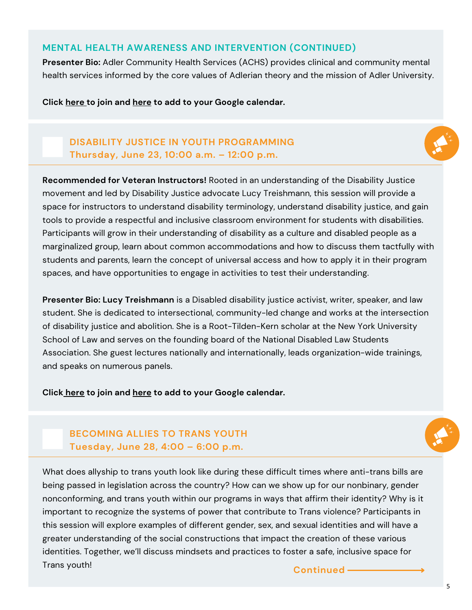#### **MENTAL HEALTH AWARENESS AND INTERVENTION (CONTINUED)**

**Presenter Bio:** Adler Community Health Services (ACHS) provides clinical and community mental health services informed by the core values of Adlerian theory and the mission of Adler University.

**Click [here](https://us06web.zoom.us/j/85265444271) to join and [here](https://calendar.google.com/event?action=TEMPLATE&tmeid=bXAzZ3F1YTFob3NybGxkNzR0b3E0aHBvZW8gcHJvZmVzc2lvbmFsLmRldmVsb3BtZW50QGFzbXByb2dyYW1zLm9yZw&tmsrc=professional.development%40asmprograms.org) to add to your Google calendar.**

### **DISABILITY JUSTICE IN YOUTH PROGRAMMING Thursday, June 23, 10:00 a.m. – 12:00 p.m.**

**Recommended for Veteran Instructors!** Rooted in an understanding of the Disability Justice movement and led by Disability Justice advocate Lucy Treishmann, this session will provide a space for instructors to understand disability terminology, understand disability justice, and gain tools to provide a respectful and inclusive classroom environment for students with disabilities. Participants will grow in their understanding of disability as a culture and disabled people as a marginalized group, learn about common accommodations and how to discuss them tactfully with students and parents, learn the concept of universal access and how to apply it in their program spaces, and have opportunities to engage in activities to test their understanding.

**Presenter Bio: Lucy Treishmann** is a Disabled disability justice activist, writer, speaker, and law student. She is dedicated to intersectional, community-led change and works at the intersection of disability justice and abolition. She is a Root-Tilden-Kern scholar at the New York University School of Law and serves on the founding board of the National Disabled Law Students Association. She guest lectures nationally and internationally, leads organization-wide trainings, and speaks on numerous panels.

**Click [here](https://us06web.zoom.us/j/89048239878) to join and [here](https://calendar.google.com/event?action=TEMPLATE&tmeid=b2I4ZmNoamtkODJwZ3EzcWpuZm9sbTIyazggcHJvZmVzc2lvbmFsLmRldmVsb3BtZW50QGFzbXByb2dyYW1zLm9yZw&tmsrc=professional.development%40asmprograms.org) to add to your Google calendar.**

### **BECOMING ALLIES TO TRANS YOUTH Tuesday, June 28, 4:00 – 6:00 p.m.**

What does allyship to trans youth look like during these difficult times where anti-trans bills are being passed in legislation across the country? How can we show up for our nonbinary, gender nonconforming, and trans youth within our programs in ways that affirm their identity? Why is it important to recognize the systems of power that contribute to Trans violence? Participants in this session will explore examples of different gender, sex, and sexual identities and will have a greater understanding of the social constructions that impact the creation of these various identities. Together, we'll discuss mindsets and practices to foster a safe, inclusive space for Trans youth! **Continued**



5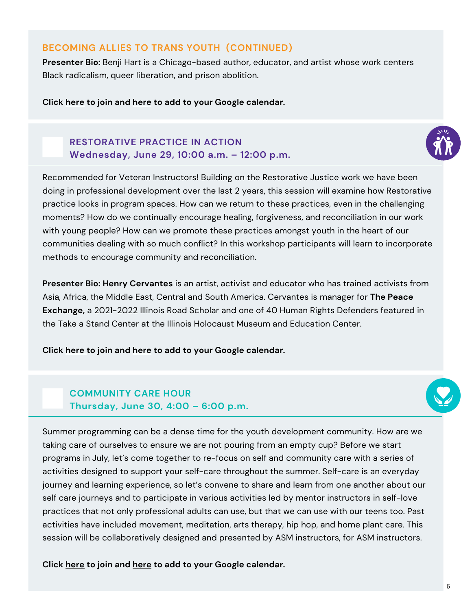#### **BECOMING ALLIES TO TRANS YOUTH (CONTINUED)**

**Presenter Bio:** Benji Hart is a Chicago-based author, educator, and artist whose work centers Black radicalism, queer liberation, and prison abolition.

**Click [here](https://us06web.zoom.us/j/84753880634) to join and [here](https://calendar.google.com/event?action=TEMPLATE&tmeid=ZGQyZWcycWdqYnJjODI0MWc2aWVydW5mazggcHJvZmVzc2lvbmFsLmRldmVsb3BtZW50QGFzbXByb2dyYW1zLm9yZw&tmsrc=professional.development%40asmprograms.org) to add to your Google calendar.**

# **RESTORATIVE PRACTICE IN ACTION Wednesday, June 29, 10:00 a.m. – 12:00 p.m.**

Recommended for Veteran Instructors! Building on the Restorative Justice work we have been doing in professional development over the last 2 years, this session will examine how Restorative practice looks in program spaces. How can we return to these practices, even in the challenging moments? How do we continually encourage healing, forgiveness, and reconciliation in our work with young people? How can we promote these practices amongst youth in the heart of our communities dealing with so much conflict? In this workshop participants will learn to incorporate methods to encourage community and reconciliation.

**Presenter Bio: Henry Cervantes** is an artist, activist and educator who has trained activists from Asia, Africa, the Middle East, Central and South America. Cervantes is manager for **The Peace Exchange,** a 2021-2022 Illinois Road Scholar and one of 40 Human Rights Defenders featured in the Take a Stand Center at the Illinois Holocaust Museum and Education Center.

**Click [here](https://us06web.zoom.us/j/88653597585) to join and [here](https://calendar.google.com/event?action=TEMPLATE&tmeid=dmFxbWo0a20xamQzcW1yYjIzdnF2NWlzc2sgcHJvZmVzc2lvbmFsLmRldmVsb3BtZW50QGFzbXByb2dyYW1zLm9yZw&tmsrc=professional.development%40asmprograms.org) to add to your Google calendar.**

# **COMMUNITY CARE HOUR Thursday, June 30, 4:00 – 6:00 p.m.**

Summer programming can be a dense time for the youth development community. How are we taking care of ourselves to ensure we are not pouring from an empty cup? Before we start programs in July, let's come together to re-focus on self and community care with a series of activities designed to support your self-care throughout the summer. Self-care is an everyday journey and learning experience, so let's convene to share and learn from one another about our self care journeys and to participate in various activities led by mentor instructors in self-love practices that not only professional adults can use, but that we can use with our teens too. Past activities have included movement, meditation, arts therapy, hip hop, and home plant care. This session will be collaboratively designed and presented by ASM instructors, for ASM instructors.

**Click [here](https://us06web.zoom.us/j/81787453424) to join and [here](https://calendar.google.com/event?action=TEMPLATE&tmeid=b2xkZXBoZXVuc2o1NzkzZnNja3Zrc2gxam8gcHJvZmVzc2lvbmFsLmRldmVsb3BtZW50QGFzbXByb2dyYW1zLm9yZw&tmsrc=professional.development%40asmprograms.org) to add to your Google calendar.**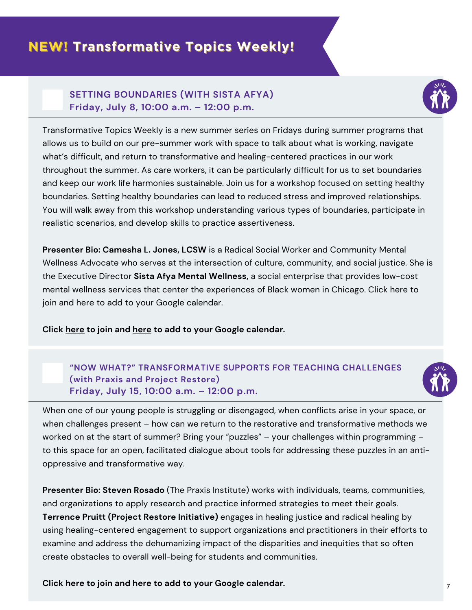# **SETTING BOUNDARIES (WITH SISTA AFYA) Friday, July 8, 10:00 a.m. – 12:00 p.m.**



Transformative Topics Weekly is a new summer series on Fridays during summer programs that allows us to build on our pre-summer work with space to talk about what is working, navigate what's difficult, and return to transformative and healing-centered practices in our work throughout the summer. As care workers, it can be particularly difficult for us to set boundaries and keep our work life harmonies sustainable. Join us for a workshop focused on setting healthy boundaries. Setting healthy boundaries can lead to reduced stress and improved relationships. You will walk away from this workshop understanding various types of boundaries, participate in realistic scenarios, and develop skills to practice assertiveness.

**Presenter Bio: Camesha L. Jones, LCSW** is a Radical Social Worker and Community Mental Wellness Advocate who serves at the intersection of culture, community, and social justice. She is the Executive Director **Sista Afya Mental Wellness,** a social enterprise that provides low-cost mental wellness services that center the experiences of Black women in Chicago. Click here to join and here to add to your Google calendar.

**Click [here](https://us06web.zoom.us/j/89605359658) to join and [here](https://calendar.google.com/event?action=TEMPLATE&tmeid=ZWd2dGI0ZHA1aXZlcXQxOWNkYTJ1M2RzNDQgcHJvZmVzc2lvbmFsLmRldmVsb3BtZW50QGFzbXByb2dyYW1zLm9yZw&tmsrc=professional.development%40asmprograms.org) to add to your Google calendar.**

#### **"NOW WHAT?" TRANSFORMATIVE SUPPORTS FOR TEACHING CHALLENGES (with Praxis and Project Restore) Friday, July 15, 10:00 a.m. – 12:00 p.m.**



When one of our young people is struggling or disengaged, when conflicts arise in your space, or when challenges present – how can we return to the restorative and transformative methods we worked on at the start of summer? Bring your "puzzles" – your challenges within programming – to this space for an open, facilitated dialogue about tools for addressing these puzzles in an antioppressive and transformative way.

**Presenter Bio: Steven Rosado** (The Praxis Institute) works with individuals, teams, communities, and organizations to apply research and practice informed strategies to meet their goals. **Terrence Pruitt (Project Restore Initiative)** engages in healing justice and radical healing by using healing-centered engagement to support organizations and practitioners in their efforts to examine and address the dehumanizing impact of the disparities and inequities that so often create obstacles to overall well-being for students and communities.

**Click [here](https://us06web.zoom.us/j/81037321050) to join and [here](https://calendar.google.com/event?action=TEMPLATE&tmeid=OTY0bDVmNmU1dnZlajlqYjJyOW50OTQyNW8gcHJvZmVzc2lvbmFsLmRldmVsb3BtZW50QGFzbXByb2dyYW1zLm9yZw&tmsrc=professional.development%40asmprograms.org) to add to your Google calendar.** <sup>7</sup>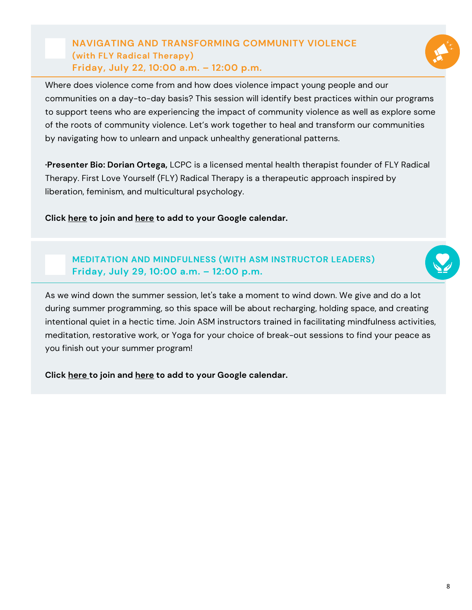# **NAVIGATING AND TRANSFORMING COMMUNITY VIOLENCE (with FLY Radical Therapy) Friday, July 22, 10:00 a.m. – 12:00 p.m.**

Where does violence come from and how does violence impact young people and our communities on a day-to-day basis? This session will identify best practices within our programs to support teens who are experiencing the impact of community violence as well as explore some of the roots of community violence. Let's work together to heal and transform our communities by navigating how to unlearn and unpack unhealthy generational patterns.

**·Presenter Bio: Dorian Ortega,** LCPC is a licensed mental health therapist founder of FLY Radical Therapy. First Love Yourself (FLY) Radical Therapy is a therapeutic approach inspired by liberation, feminism, and multicultural psychology.

**Click [here](https://us06web.zoom.us/j/82938799317) to join and [here](https://calendar.google.com/event?action=TEMPLATE&tmeid=djgzY3ZobHI5a3BzdGx1NzkwZGJrYXZ0cGsgcHJvZmVzc2lvbmFsLmRldmVsb3BtZW50QGFzbXByb2dyYW1zLm9yZw&tmsrc=professional.development%40asmprograms.org) to add to your Google calendar.**

# **MEDITATION AND MINDFULNESS (WITH ASM INSTRUCTOR LEADERS) Friday, July 29, 10:00 a.m. – 12:00 p.m.**

As we wind down the summer session, let's take a moment to wind down. We give and do a lot during summer programming, so this space will be about recharging, holding space, and creating intentional quiet in a hectic time. Join ASM instructors trained in facilitating mindfulness activities, meditation, restorative work, or Yoga for your choice of break-out sessions to find your peace as you finish out your summer program!

**Click [here](https://us06web.zoom.us/j/82785676115) to join and [here](https://calendar.google.com/event?action=TEMPLATE&tmeid=bTVzdGRuM21xaW1kbDFpOXYwczVsc3IxNDggcHJvZmVzc2lvbmFsLmRldmVsb3BtZW50QGFzbXByb2dyYW1zLm9yZw&tmsrc=professional.development%40asmprograms.org) to add to your Google calendar.**

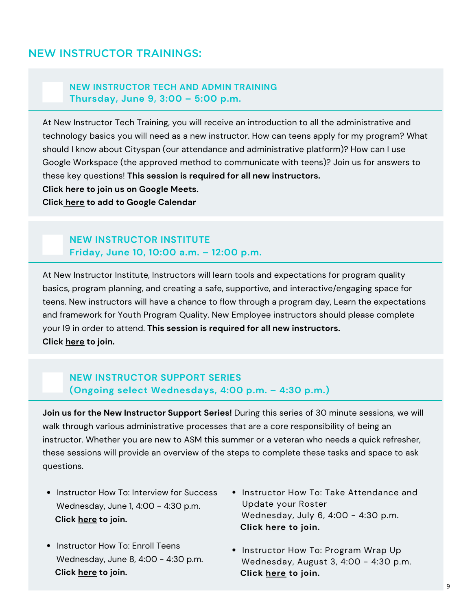# NEW INSTRUCTOR TRAININGS:

#### **NEW INSTRUCTOR TECH AND ADMIN TRAINING Thursday, June 9, 3:00 – 5:00 p.m.**

At New Instructor Tech Training, you will receive an introduction to all the administrative and technology basics you will need as a new instructor. How can teens apply for my program? What should I know about Cityspan (our attendance and administrative platform)? How can I use Google Workspace (the approved method to communicate with teens)? Join us for answers to these key questions! **This session is required for all new instructors.**

**Click [here](https://meet.google.com/pfx-rhao-rzo) to join us on Google Meets.**

**Click [here](https://calendar.google.com/event?action=TEMPLATE&tmeid=NHV0b3JvYmtla2JoMDJyM3BrbHNjaGx1Z3QgcHJvZmVzc2lvbmFsLmRldmVsb3BtZW50QGFzbXByb2dyYW1zLm9yZw&tmsrc=professional.development%40asmprograms.org) to add to Google Calendar**

## **NEW INSTRUCTOR INSTITUTE Friday, June 10, 10:00 a.m. – 12:00 p.m.**

At New Instructor Institute, Instructors will learn tools and expectations for program quality basics, program planning, and creating a safe, supportive, and interactive/engaging space for teens. New instructors will have a chance to flow through a program day, Learn the expectations and framework for Youth Program Quality. New Employee instructors should please complete your I9 in order to attend. **This session is required for all new instructors. Click [here](https://us06web.zoom.us/j/89616352455) to join.**

# **NEW INSTRUCTOR SUPPORT SERIES (Ongoing select Wednesdays, 4:00 p.m. – 4:30 p.m.)**

**Join us for the New Instructor Support Series!** During this series of 30 minute sessions, we will walk through various administrative processes that are a core responsibility of being an instructor. Whether you are new to ASM this summer or a veteran who needs a quick refresher, these sessions will provide an overview of the steps to complete these tasks and space to ask questions.

- Instructor How To: Interview for Success Wednesday, June 1, 4:00 - 4:30 p.m. **Click [here](https://meet.google.com/rae-nqba-ytm) to join.**
- Instructor How To: Enroll Teens Wednesday, June 8, 4:00 - 4:30 p.m. **Click [here](https://meet.google.com/rae-nqba-ytm) [t](https://us06web.zoom.us/j/89616352455)o join.**
- Instructor How To: Take Attendance and Update your Roster Wednesday, July 6, 4:00 - 4:30 p.m. **Click [here](https://meet.google.com/rae-nqba-ytm) to join.**
- Instructor How To: Program Wrap Up Wednesday, August 3, 4:00 - 4:30 p.m. **Click [here](https://meet.google.com/rae-nqba-ytm) to join.**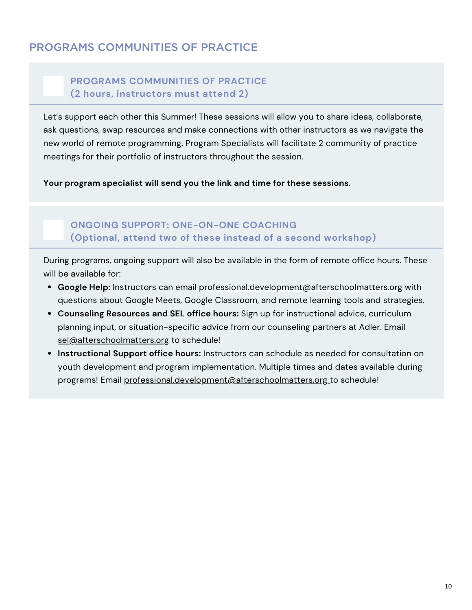# PROGRAMS COMMUNITIES OF PRACTICE

# **PROGRAMS COMMUNITIES OF PRACTICE (2 hours, instructors must attend 2)**

Let's support each other this Summer! These sessions will allow you to share ideas, collaborate, ask questions, swap resources and make connections with other instructors as we navigate the new world of remote programming. Program Specialists will facilitate 2 community of practice meetings for their portfolio of instructors throughout the session.

**Your program specialist will send you the link and time for these sessions.**

# **ONGOING SUPPORT: ONE-ON-ONE COACHING (Optional, attend two of these instead of a second workshop)**

During programs, ongoing support will also be available in the form of remote office hours. These will be available for:

- **Google Help:** Instructors can email [professional.development@afterschoolmatters.org](mailto:professional.development@afterschoolmatters.org) with questions about Google Meets, Google Classroom, and remote learning tools and strategies.
- **Counseling Resources and SEL office hours:** Sign up for instructional advice, curriculum planning input, or situation-specific advice from our counseling partners at Adler. Email [sel@afterschoolmatters.org](mailto:sel@afterschoolmatters.org) to schedule!
- **Instructional Support office hours:** Instructors can schedule as needed for consultation on youth development and program implementation. Multiple times and dates available during programs! Email [professional.development@afterschoolmatters.org](mailto:professional.development@afterschoolmatters.org) to schedule!